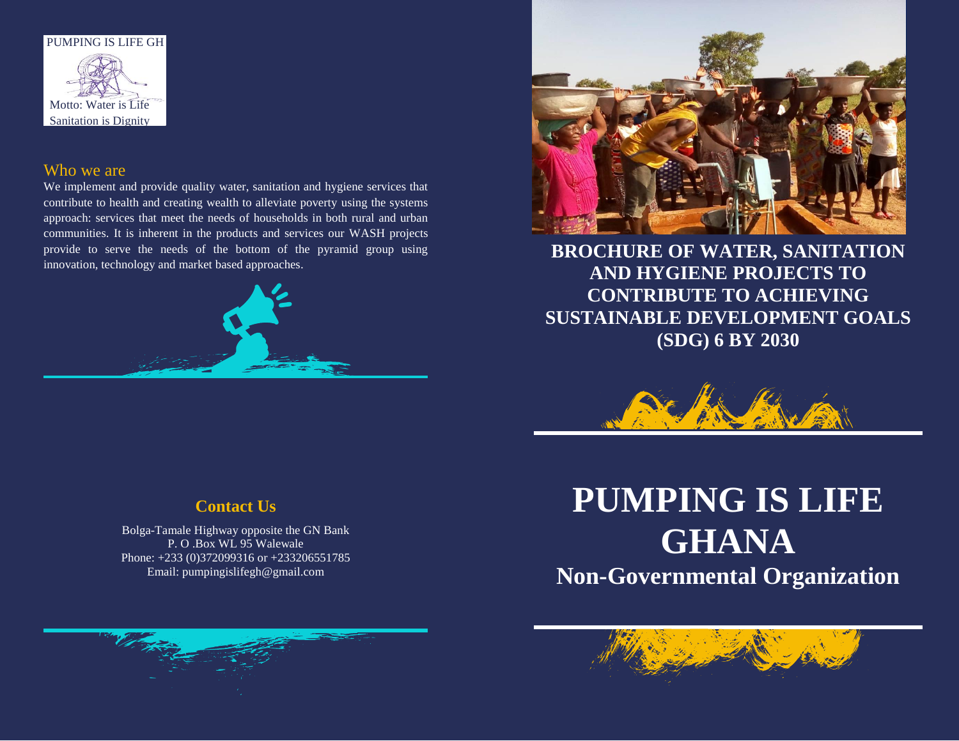

#### Who we are

We implement and provide quality water, sanitation and hygiene services that contribute to health and creating wealth to alleviate poverty using the systems approach: services that meet the needs of households in both rural and urban communities. It is inherent in the products and services our WASH projects provide to serve the needs of the bottom of the pyramid group using innovation, technology and market based approaches.





**BROCHURE OF WATER, SANITATION AND HYGIENE PROJECTS TO CONTRIBUTE TO ACHIEVING SUSTAINABLE DEVELOPMENT GOALS (SDG) 6 BY 2030**



## **Contact Us**

Bolga-Tamale Highway opposite the GN Bank P. O .Box WL 95 Walewale Phone: +233 (0)372099316 or +233206551785 Email: pumpingislifegh@gmail.com

# **PUMPING IS LIFE GHANA**

**Non-Governmental Organization**

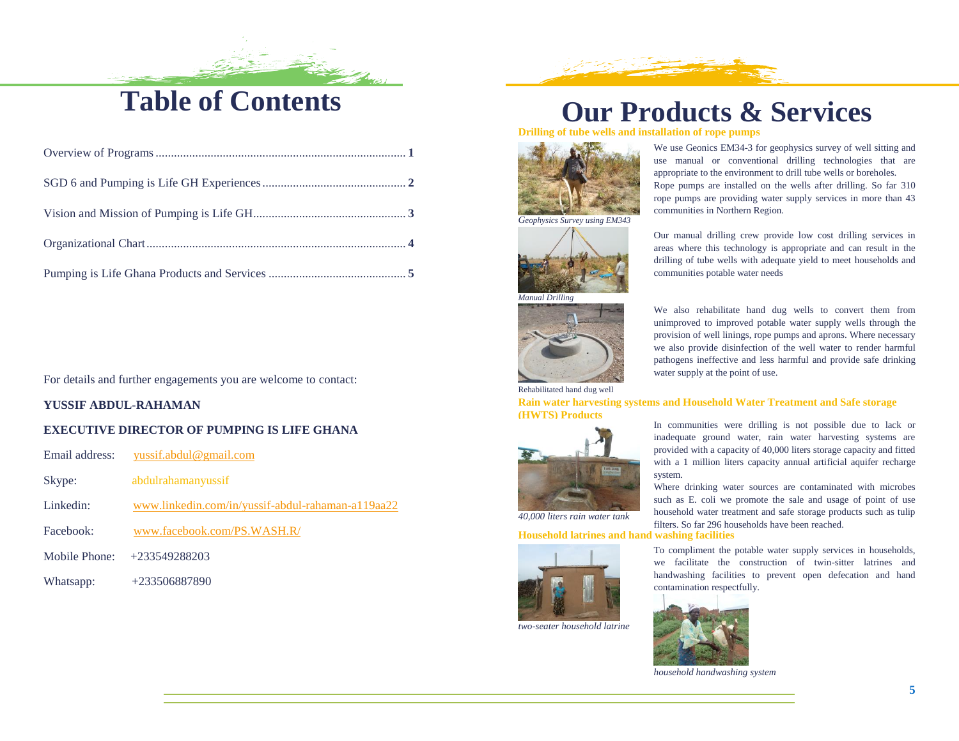# **Table of Contents**

For details and further engagements you are welcome to contact:

#### **YUSSIF ABDUL-RAHAMAN**

#### **EXECUTIVE DIRECTOR OF PUMPING IS LIFE GHANA**

Email address: [yussif.abdul@gmail.com](mailto:yussif.abdul@gmail.com)

- Skype: abdulrahamanyussif
- Linkedin: [www.linkedin.com/in/yussif-abdul-rahaman-a119aa22](http://www.linkedin.com/in/yussif-abdul-rahaman-a119aa22)
- Facebook: [www.facebook.com/PS.WASH.R/](http://www.facebook.com/PS.WASH.R/)
- Mobile Phone: +233549288203
- Whatsapp: +233506887890

# **Our Products & Services**

communities in Northern Region.

communities potable water needs

**Drilling of tube wells and installation of rope pumps**



*Geophysics Survey using EM343*





Rehabilitated hand dug well

**Rain water harvesting systems and Household Water Treatment and Safe storage (HWTS) Products**

water supply at the point of use.



*40,000 liters rain water tank*

**Household latrines and hand washing facilities**



*two-seater household latrine*

In communities were drilling is not possible due to lack or inadequate ground water, rain water harvesting systems are provided with a capacity of 40,000 liters storage capacity and fitted with a 1 million liters capacity annual artificial aquifer recharge system.

We use Geonics EM34-3 for geophysics survey of well sitting and use manual or conventional drilling technologies that are appropriate to the environment to drill tube wells or boreholes. Rope pumps are installed on the wells after drilling. So far 310 rope pumps are providing water supply services in more than 43

Our manual drilling crew provide low cost drilling services in areas where this technology is appropriate and can result in the drilling of tube wells with adequate yield to meet households and

We also rehabilitate hand dug wells to convert them from unimproved to improved potable water supply wells through the provision of well linings, rope pumps and aprons. Where necessary we also provide disinfection of the well water to render harmful pathogens ineffective and less harmful and provide safe drinking

Where drinking water sources are contaminated with microbes such as E. coli we promote the sale and usage of point of use household water treatment and safe storage products such as tulip filters. So far 296 households have been reached.

To compliment the potable water supply services in households, we facilitate the construction of twin-sitter latrines and handwashing facilities to prevent open defecation and hand contamination respectfully.



*household handwashing system*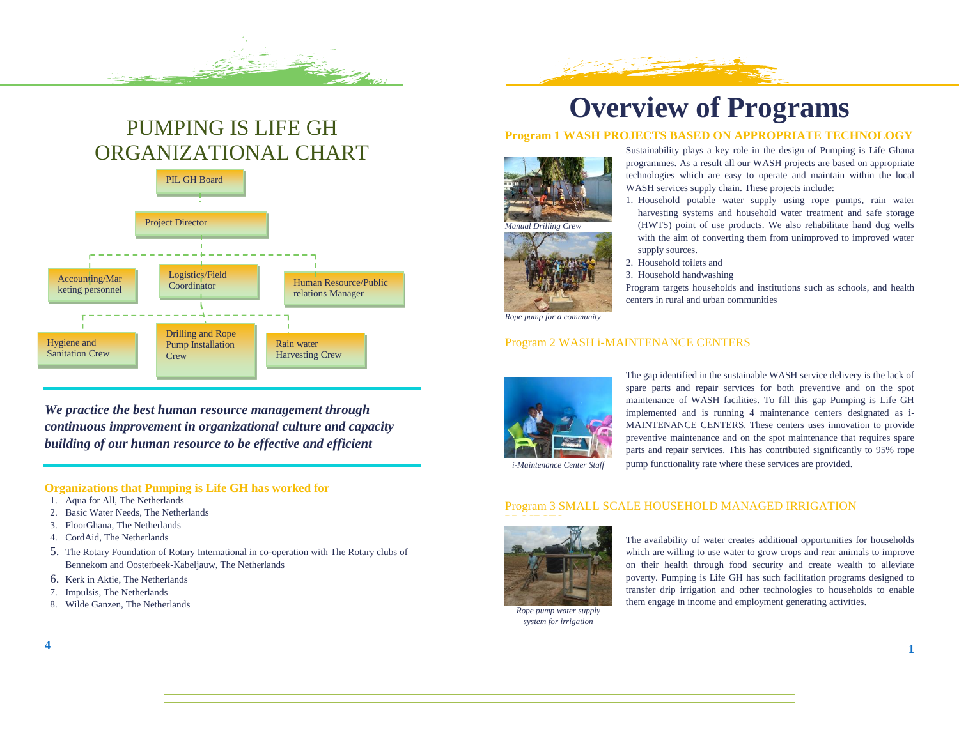## PUMPING IS LIFE GH ORGANIZATIONAL CHART



*We practice the best human resource management through continuous improvement in organizational culture and capacity building of our human resource to be effective and efficient* 

#### **Organizations that Pumping is Life GH has worked for**

- 1. Aqua for All, The Netherlands
- 2. Basic Water Needs, The Netherlands
- 3. FloorGhana, The Netherlands
- 4. CordAid, The Netherlands
- 5. The Rotary Foundation of Rotary International in co-operation with The Rotary clubs of Bennekom and Oosterbeek-Kabeljauw, The Netherlands
- 6. Kerk in Aktie, The Netherlands
- 7. Impulsis, The Netherlands
- 8. Wilde Ganzen, The Netherlands

# **Overview of Programs**

#### **Program 1 WASH PROJECTS BASED ON APPROPRIATE TECHNOLOGY**





Sustainability plays a key role in the design of Pumping is Life Ghana programmes. As a result all our WASH projects are based on appropriate technologies which are easy to operate and maintain within the local WASH services supply chain. These projects include:

- 1. Household potable water supply using rope pumps, rain water harvesting systems and household water treatment and safe storage (HWTS) point of use products. We also rehabilitate hand dug wells with the aim of converting them from unimproved to improved water supply sources.
- 2. Household toilets and
- 3. Household handwashing

Program targets households and institutions such as schools, and health centers in rural and urban communities

*Rope pump for a community*

#### Program 2 WASH i-MAINTENANCE CENTERS



The gap identified in the sustainable WASH service delivery is the lack of spare parts and repair services for both preventive and on the spot maintenance of WASH facilities. To fill this gap Pumping is Life GH implemented and is running 4 maintenance centers designated as i-MAINTENANCE CENTERS. These centers uses innovation to provide preventive maintenance and on the spot maintenance that requires spare parts and repair services. This has contributed significantly to 95% rope pump functionality rate where these services are provided.

*i-Maintenance Center Staff*

#### Program 3 SMALL SCALE HOUSEHOLD MANAGED IRRIGATION



*Rope pump water supply system for irrigation*

The availability of water creates additional opportunities for households which are willing to use water to grow crops and rear animals to improve on their health through food security and create wealth to alleviate poverty. Pumping is Life GH has such facilitation programs designed to transfer drip irrigation and other technologies to households to enable them engage in income and employment generating activities.